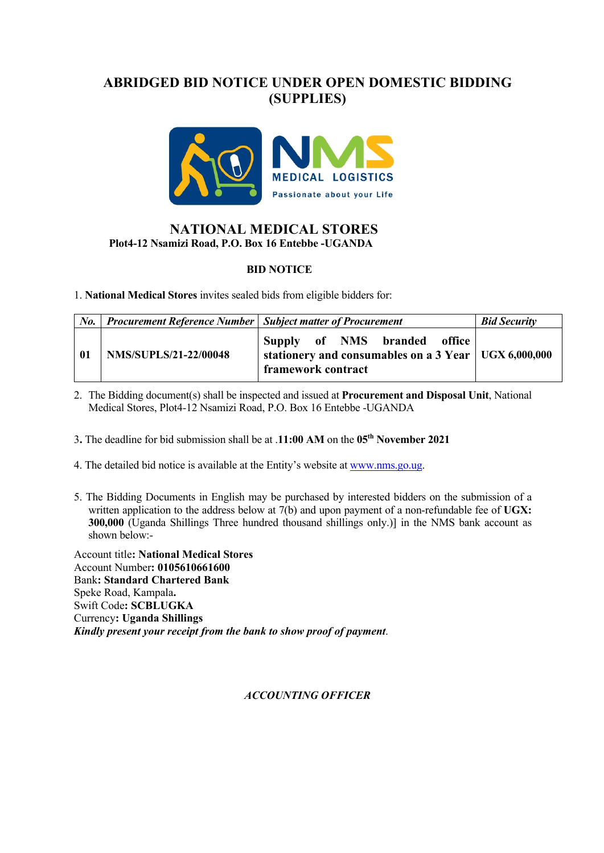# **ABRIDGED BID NOTICE UNDER OPEN DOMESTIC BIDDING (SUPPLIES)**



### **NATIONAL MEDICAL STORESPlot4-12 Nsamizi Road, P.O. Box 16 Entebbe -UGANDA**

#### **BID NOTICE**

1. **National Medical Stores** invites sealed bids from eligible bidders for:

| $N_{0}$ | <b>Procurement Reference Number   Subject matter of Procurement</b> |                                                                                                              | <b>Bid Security</b> |
|---------|---------------------------------------------------------------------|--------------------------------------------------------------------------------------------------------------|---------------------|
| -01     | <b>NMS/SUPLS/21-22/00048</b>                                        | Supply of NMS branded office<br>stationery and consumables on a 3 Year   UGX 6,000,000<br>framework contract |                     |

- 2. The Bidding document(s) shall be inspected and issued at **Procurement and Disposal Unit**, National Medical Stores, Plot4-12 Nsamizi Road, P.O. Box 16 Entebbe -UGANDA
- 3**.** The deadline for bid submission shall be at .**11:00 AM** on the **05th November 2021**
- 4. The detailed bid notice is available at the Entity's website at www.nms.go.ug.
- 5. The Bidding Documents in English may be purchased by interested bidders on the submission of a written application to the address below at 7(b) and upon payment of a non-refundable fee of **UGX: 300,000** (Uganda Shillings Three hundred thousand shillings only.)] in the NMS bank account as shown below:-

Account title**: National Medical Stores** Account Number**: 0105610661600** Bank**: Standard Chartered Bank** Speke Road, Kampala**.** Swift Code**: SCBLUGKA** Currency**: Uganda Shillings** *Kindly present your receipt from the bank to show proof of payment*.

#### *ACCOUNTING OFFICER*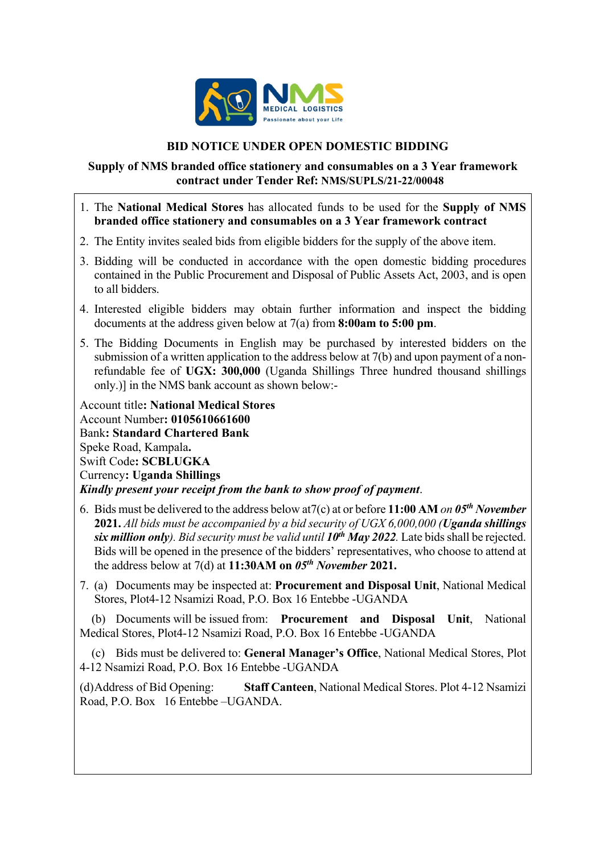

### **BID NOTICE UNDER OPEN DOMESTIC BIDDING**

### **Supply of NMS branded office stationery and consumables on a 3 Year framework contract under Tender Ref: NMS/SUPLS/21-22/00048**

- 1. The **National Medical Stores** has allocated funds to be used for the **Supply of NMS branded office stationery and consumables on a 3 Year framework contract**
- 2. The Entity invites sealed bids from eligible bidders for the supply of the above item.
- 3. Bidding will be conducted in accordance with the open domestic bidding procedures contained in the Public Procurement and Disposal of Public Assets Act, 2003, and is open to all bidders.
- 4. Interested eligible bidders may obtain further information and inspect the bidding documents at the address given below at 7(a) from **8:00am to 5:00 pm**.
- 5. The Bidding Documents in English may be purchased by interested bidders on the submission of a written application to the address below at 7(b) and upon payment of a nonrefundable fee of **UGX: 300,000** (Uganda Shillings Three hundred thousand shillings only.)] in the NMS bank account as shown below:-

Account title**: National Medical Stores** Account Number**: 0105610661600** Bank**: Standard Chartered Bank** Speke Road, Kampala**.** Swift Code**: SCBLUGKA** Currency**: Uganda Shillings** *Kindly present your receipt from the bank to show proof of payment*.

- 6. Bids must be delivered to the address below at7(c) at or before **11:00 AM** *on 05th November*  **2021.** *All bids must be accompanied by a bid security of UGX 6,000,000 (Uganda shillings*  six million only). Bid security must be valid until  $10^{th}$  May 2022. Late bids shall be rejected. Bids will be opened in the presence of the bidders' representatives, who choose to attend at the address below at 7(d) at **11:30AM on** *05th November* **2021.**
- 7. (a) Documents may be inspected at: **Procurement and Disposal Unit**, National Medical Stores, Plot4-12 Nsamizi Road, P.O. Box 16 Entebbe -UGANDA

 (b) Documents will be issued from: **Procurement and Disposal Unit**, National Medical Stores, Plot4-12 Nsamizi Road, P.O. Box 16 Entebbe -UGANDA

 (c) Bids must be delivered to: **General Manager's Office**, National Medical Stores, Plot 4-12 Nsamizi Road, P.O. Box 16 Entebbe -UGANDA

(d)Address of Bid Opening: **Staff Canteen**, National Medical Stores. Plot 4-12 Nsamizi Road, P.O. Box 16 Entebbe –UGANDA.